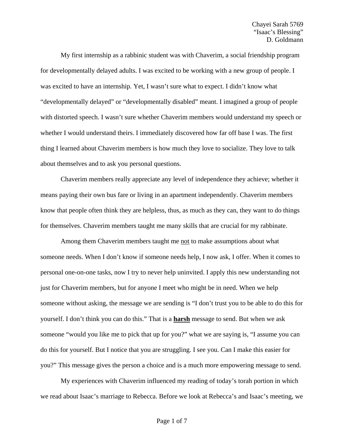My first internship as a rabbinic student was with Chaverim, a social friendship program for developmentally delayed adults. I was excited to be working with a new group of people. I was excited to have an internship. Yet, I wasn't sure what to expect. I didn't know what "developmentally delayed" or "developmentally disabled" meant. I imagined a group of people with distorted speech. I wasn't sure whether Chaverim members would understand my speech or whether I would understand theirs. I immediately discovered how far off base I was. The first thing I learned about Chaverim members is how much they love to socialize. They love to talk about themselves and to ask you personal questions.

Chaverim members really appreciate any level of independence they achieve; whether it means paying their own bus fare or living in an apartment independently. Chaverim members know that people often think they are helpless, thus, as much as they can, they want to do things for themselves. Chaverim members taught me many skills that are crucial for my rabbinate.

Among them Chaverim members taught me not to make assumptions about what someone needs. When I don't know if someone needs help, I now ask, I offer. When it comes to personal one-on-one tasks, now I try to never help uninvited. I apply this new understanding not just for Chaverim members, but for anyone I meet who might be in need. When we help someone without asking, the message we are sending is "I don't trust you to be able to do this for yourself. I don't think you can do this." That is a **harsh** message to send. But when we ask someone "would you like me to pick that up for you?" what we are saying is, "I assume you can do this for yourself. But I notice that you are struggling. I see you. Can I make this easier for you?" This message gives the person a choice and is a much more empowering message to send.

My experiences with Chaverim influenced my reading of today's torah portion in which we read about Isaac's marriage to Rebecca. Before we look at Rebecca's and Isaac's meeting, we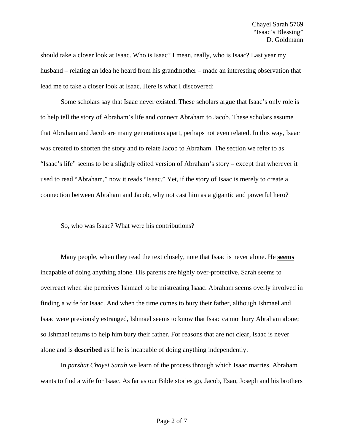should take a closer look at Isaac. Who is Isaac? I mean, really, who is Isaac? Last year my husband – relating an idea he heard from his grandmother – made an interesting observation that lead me to take a closer look at Isaac. Here is what I discovered:

 Some scholars say that Isaac never existed. These scholars argue that Isaac's only role is to help tell the story of Abraham's life and connect Abraham to Jacob. These scholars assume that Abraham and Jacob are many generations apart, perhaps not even related. In this way, Isaac was created to shorten the story and to relate Jacob to Abraham. The section we refer to as "Isaac's life" seems to be a slightly edited version of Abraham's story – except that wherever it used to read "Abraham," now it reads "Isaac." Yet, if the story of Isaac is merely to create a connection between Abraham and Jacob, why not cast him as a gigantic and powerful hero?

So, who was Isaac? What were his contributions?

 Many people, when they read the text closely, note that Isaac is never alone. He **seems** incapable of doing anything alone. His parents are highly over-protective. Sarah seems to overreact when she perceives Ishmael to be mistreating Isaac. Abraham seems overly involved in finding a wife for Isaac. And when the time comes to bury their father, although Ishmael and Isaac were previously estranged, Ishmael seems to know that Isaac cannot bury Abraham alone; so Ishmael returns to help him bury their father. For reasons that are not clear, Isaac is never alone and is **described** as if he is incapable of doing anything independently.

 In *parshat Chayei Sarah* we learn of the process through which Isaac marries. Abraham wants to find a wife for Isaac. As far as our Bible stories go, Jacob, Esau, Joseph and his brothers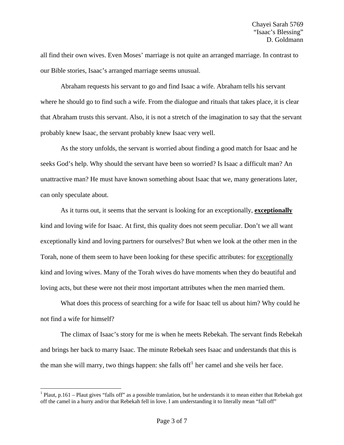all find their own wives. Even Moses' marriage is not quite an arranged marriage. In contrast to our Bible stories, Isaac's arranged marriage seems unusual.

 Abraham requests his servant to go and find Isaac a wife. Abraham tells his servant where he should go to find such a wife. From the dialogue and rituals that takes place, it is clear that Abraham trusts this servant. Also, it is not a stretch of the imagination to say that the servant probably knew Isaac, the servant probably knew Isaac very well.

 As the story unfolds, the servant is worried about finding a good match for Isaac and he seeks God's help. Why should the servant have been so worried? Is Isaac a difficult man? An unattractive man? He must have known something about Isaac that we, many generations later, can only speculate about.

 As it turns out, it seems that the servant is looking for an exceptionally, **exceptionally** kind and loving wife for Isaac. At first, this quality does not seem peculiar. Don't we all want exceptionally kind and loving partners for ourselves? But when we look at the other men in the Torah, none of them seem to have been looking for these specific attributes: for exceptionally kind and loving wives. Many of the Torah wives do have moments when they do beautiful and loving acts, but these were not their most important attributes when the men married them.

 What does this process of searching for a wife for Isaac tell us about him? Why could he not find a wife for himself?

 The climax of Isaac's story for me is when he meets Rebekah. The servant finds Rebekah and brings her back to marry Isaac. The minute Rebekah sees Isaac and understands that this is the man she will marry, two things happen: she falls of  $f<sup>1</sup>$  $f<sup>1</sup>$  $f<sup>1</sup>$  her camel and she veils her face.

 $\overline{a}$ 

<span id="page-2-0"></span> $1$  Plaut, p.161 – Plaut gives "falls off" as a possible translation, but he understands it to mean either that Rebekah got off the camel in a hurry and/or that Rebekah fell in love. I am understanding it to literally mean "fall off"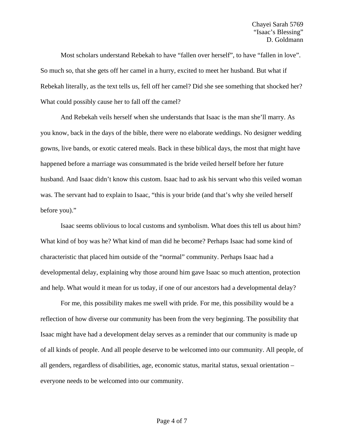Most scholars understand Rebekah to have "fallen over herself", to have "fallen in love". So much so, that she gets off her camel in a hurry, excited to meet her husband. But what if Rebekah literally, as the text tells us, fell off her camel? Did she see something that shocked her? What could possibly cause her to fall off the camel?

 And Rebekah veils herself when she understands that Isaac is the man she'll marry. As you know, back in the days of the bible, there were no elaborate weddings. No designer wedding gowns, live bands, or exotic catered meals. Back in these biblical days, the most that might have happened before a marriage was consummated is the bride veiled herself before her future husband. And Isaac didn't know this custom. Isaac had to ask his servant who this veiled woman was. The servant had to explain to Isaac, "this is your bride (and that's why she veiled herself before you)."

 Isaac seems oblivious to local customs and symbolism. What does this tell us about him? What kind of boy was he? What kind of man did he become? Perhaps Isaac had some kind of characteristic that placed him outside of the "normal" community. Perhaps Isaac had a developmental delay, explaining why those around him gave Isaac so much attention, protection and help. What would it mean for us today, if one of our ancestors had a developmental delay?

 For me, this possibility makes me swell with pride. For me, this possibility would be a reflection of how diverse our community has been from the very beginning. The possibility that Isaac might have had a development delay serves as a reminder that our community is made up of all kinds of people. And all people deserve to be welcomed into our community. All people, of all genders, regardless of disabilities, age, economic status, marital status, sexual orientation – everyone needs to be welcomed into our community.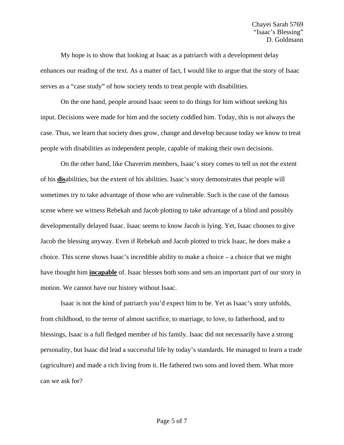My hope is to show that looking at Isaac as a patriarch with a development delay enhances our reading of the text. As a matter of fact, I would like to argue that the story of Isaac serves as a "case study" of how society tends to treat people with disabilities.

On the one hand, people around Isaac seem to do things for him without seeking his input. Decisions were made for him and the society coddled him. Today, this is not always the case. Thus, we learn that society does grow, change and develop because today we know to treat people with disabilities as independent people, capable of making their own decisions.

On the other hand, like Chaverim members, Isaac's story comes to tell us not the extent of his **dis**abilities, but the extent of his abilities. Isaac's story demonstrates that people will sometimes try to take advantage of those who are vulnerable. Such is the case of the famous scene where we witness Rebekah and Jacob plotting to take advantage of a blind and possibly developmentally delayed Isaac. Isaac seems to know Jacob is lying. Yet, Isaac chooses to give Jacob the blessing anyway. Even if Rebekah and Jacob plotted to trick Isaac, he does make a choice. This scene shows Isaac's incredible ability to make a choice – a choice that we might have thought him **incapable** of. Isaac blesses both sons and sets an important part of our story in motion. We cannot have our history without Isaac.

Isaac is not the kind of patriarch you'd expect him to be. Yet as Isaac's story unfolds, from childhood, to the terror of almost sacrifice, to marriage, to love, to fatherhood, and to blessings, Isaac is a full fledged member of his family. Isaac did not necessarily have a strong personality, but Isaac did lead a successful life by today's standards. He managed to learn a trade (agriculture) and made a rich living from it. He fathered two sons and loved them. What more can we ask for?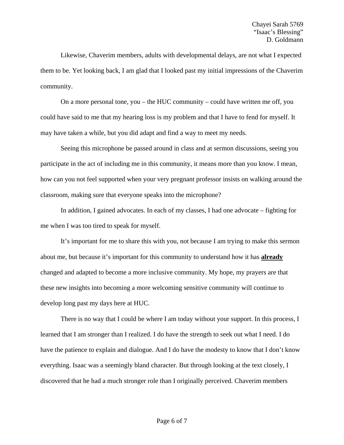Likewise, Chaverim members, adults with developmental delays, are not what I expected them to be. Yet looking back, I am glad that I looked past my initial impressions of the Chaverim community.

On a more personal tone, you – the HUC community – could have written me off, you could have said to me that my hearing loss is my problem and that I have to fend for myself. It may have taken a while, but you did adapt and find a way to meet my needs.

Seeing this microphone be passed around in class and at sermon discussions, seeing you participate in the act of including me in this community, it means more than you know. I mean, how can you not feel supported when your very pregnant professor insists on walking around the classroom, making sure that everyone speaks into the microphone?

In addition, I gained advocates. In each of my classes, I had one advocate – fighting for me when I was too tired to speak for myself.

It's important for me to share this with you, not because I am trying to make this sermon about me, but because it's important for this community to understand how it has **already** changed and adapted to become a more inclusive community. My hope, my prayers are that these new insights into becoming a more welcoming sensitive community will continue to develop long past my days here at HUC.

There is no way that I could be where I am today without your support. In this process, I learned that I am stronger than I realized. I do have the strength to seek out what I need. I do have the patience to explain and dialogue. And I do have the modesty to know that I don't know everything. Isaac was a seemingly bland character. But through looking at the text closely, I discovered that he had a much stronger role than I originally perceived. Chaverim members